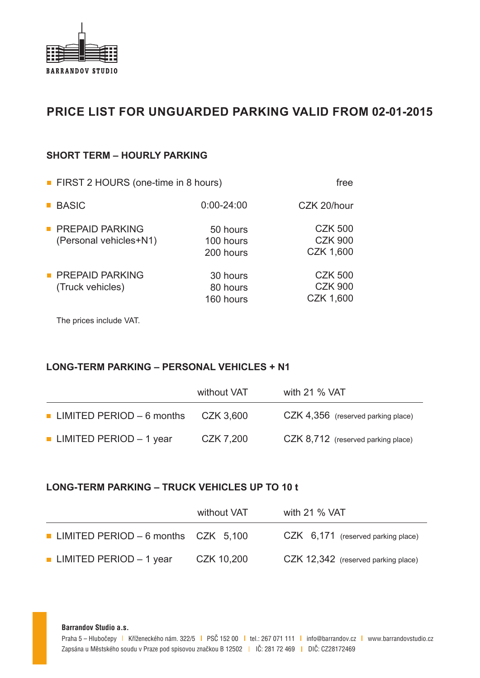

# **PRICE LIST FOR UNGUARDED PARKING VALID FROM 02-01-2015**

### **SHORT TERM – HOURLY PARKING**

| ■ FIRST 2 HOURS (one-time in 8 hours)            | free                               |                                               |
|--------------------------------------------------|------------------------------------|-----------------------------------------------|
| <b>BASIC</b>                                     | $0:00 - 24:00$                     | CZK 20/hour                                   |
| <b>PREPAID PARKING</b><br>(Personal vehicles+N1) | 50 hours<br>100 hours<br>200 hours | <b>CZK 500</b><br><b>CZK 900</b><br>CZK 1,600 |
| <b>PREPAID PARKING</b><br>(Truck vehicles)       | 30 hours<br>80 hours<br>160 hours  | <b>CZK 500</b><br><b>CZK 900</b><br>CZK 1,600 |

The prices include VAT.

## **LONG-TERM PARKING – PERSONAL VEHICLES + N1**

|                                           | without VAT | with 21 % VAT                      |
|-------------------------------------------|-------------|------------------------------------|
| $\blacksquare$ LIMITED PERIOD $-6$ months | CZK 3,600   | CZK 4,356 (reserved parking place) |
| <b>LIMITED PERIOD</b> - 1 year            | CZK 7,200   | CZK 8,712 (reserved parking place) |

#### **LONG-TERM PARKING – TRUCK VEHICLES UP TO 10 t**

|                                              | without VAT | with 21 $%$ VAT                     |
|----------------------------------------------|-------------|-------------------------------------|
| <b>LIMITED PERIOD - 6 months</b> $CZK$ 5,100 |             | CZK 6,171 (reserved parking place)  |
| ■ LIMITED PERIOD $-1$ year                   | CZK 10,200  | CZK 12,342 (reserved parking place) |

**Barrandov Studio a.s.**